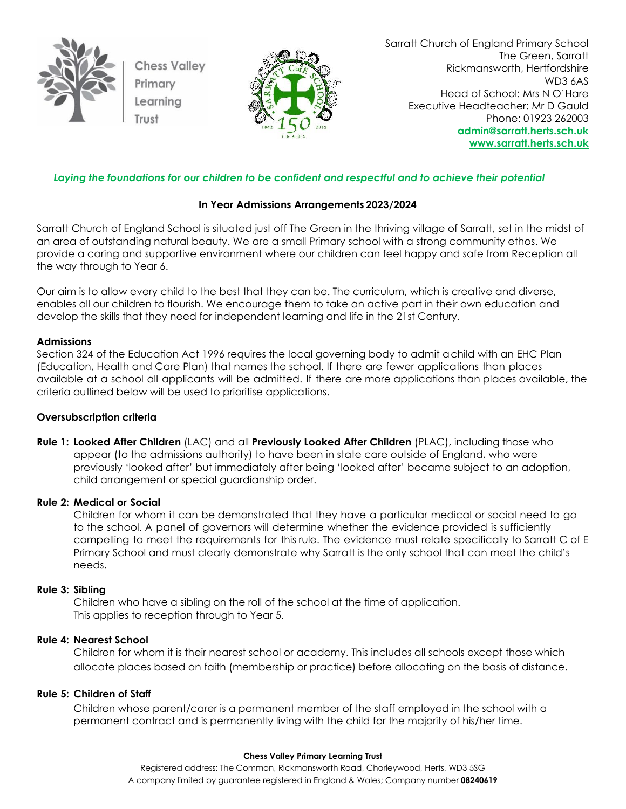

**Chess Valley** Primary Learning



Sarratt Church of England Primary School The Green, Sarratt Rickmansworth, Hertfordshire WD3 6AS Head of School: Mrs N O'Hare Executive Headteacher: Mr D Gauld Phone: 01923 262003 **[admin@sarratt.herts.sch.uk](mailto:admin@sarratt.herts.sch.uk) [www.sarratt.herts.sch.uk](http://www.sarratt.herts.sch.uk/)**

# *Laying the foundations for our children to be confident and respectful and to achieve their potential*

# **In Year Admissions Arrangements 2023/2024**

Sarratt Church of England School is situated just off The Green in the thriving village of Sarratt, set in the midst of an area of outstanding natural beauty. We are a small Primary school with a strong community ethos. We provide a caring and supportive environment where our children can feel happy and safe from Reception all the way through to Year 6.

Our aim is to allow every child to the best that they can be. The curriculum, which is creative and diverse, enables all our children to flourish. We encourage them to take an active part in their own education and develop the skills that they need for independent learning and life in the 21st Century.

### **Admissions**

Section 324 of the Education Act 1996 requires the local governing body to admit achild with an EHC Plan (Education, Health and Care Plan) that names the school. If there are fewer applications than places available at a school all applicants will be admitted. If there are more applications than places available, the criteria outlined below will be used to prioritise applications.

## **Oversubscription criteria**

**Rule 1: Looked After Children** (LAC) and all **Previously Looked After Children** (PLAC), including those who appear (to the admissions authority) to have been in state care outside of England, who were previously 'looked after' but immediately after being 'looked after' became subject to an adoption, child arrangement or special guardianship order.

### **Rule 2: Medical or Social**

Children for whom it can be demonstrated that they have a particular medical or social need to go to the school. A panel of governors will determine whether the evidence provided is sufficiently compelling to meet the requirements for this rule. The evidence must relate specifically to Sarratt C of E Primary School and must clearly demonstrate why Sarratt is the only school that can meet the child's needs.

### **Rule 3: Sibling**

Children who have a sibling on the roll of the school at the time of application. This applies to reception through to Year 5.

## **Rule 4: Nearest School**

Children for whom it is their nearest school or academy. This includes all schools except those which allocate places based on faith (membership or practice) before allocating on the basis of distance.

## **Rule 5: Children of Staff**

Children whose parent/carer is a permanent member of the staff employed in the school with a permanent contract and is permanently living with the child for the majority of his/her time.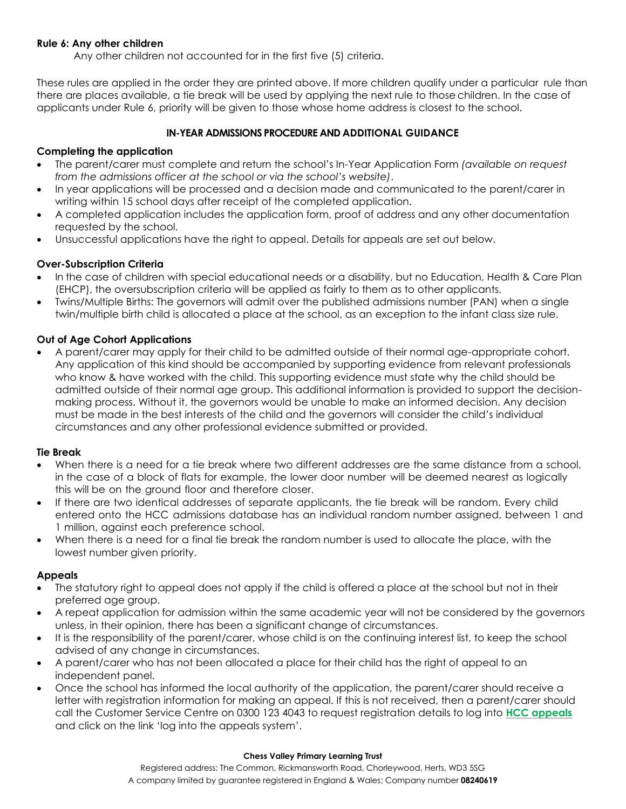## **Rule 6: Any other children**

Any other children not accounted for in the first five (5) criteria.

These rules are applied in the order they are printed above. If more children qualify under a particular rule than there are places available, a tie break will be used by applying the next rule to those children. In the case of applicants under Rule 6, priority will be given to those whose home address is closest to the school.

# **IN-YEAR ADMISSIONS PROCEDURE AND ADDITIONAL GUIDANCE**

# **Completing the application**

- The parent/carer must complete and return the school's In-Year Application Form *(available on request from the admissions officer at the school or via the school's website)*.
- In year applications will be processed and a decision made and communicated to the parent/carer in writing within 15 school days after receipt of the completed application.
- A completed application includes the application form, proof of address and any other documentation requested by the school.
- Unsuccessful applications have the right to appeal. Details for appeals are set out below.

# **Over-Subscription Criteria**

- In the case of children with special educational needs or a disability, but no Education, Health & Care Plan (EHCP), the oversubscription criteria will be applied as fairly to them as to other applicants.
- Twins/Multiple Births: The governors will admit over the published admissions number (PAN) when a single twin/multiple birth child is allocated a place at the school, as an exception to the infant class size rule.

# **Out of Age Cohort Applications**

• A parent/carer may apply for their child to be admitted outside of their normal age-appropriate cohort. Any application of this kind should be accompanied by supporting evidence from relevant professionals who know & have worked with the child. This supporting evidence must state why the child should be admitted outside of their normal age group. This additional information is provided to support the decisionmaking process. Without it, the governors would be unable to make an informed decision. Any decision must be made in the best interests of the child and the governors will consider the child's individual circumstances and any other professional evidence submitted or provided.

## **Tie Break**

- When there is a need for a tie break where two different addresses are the same distance from a school, in the case of a block of flats for example, the lower door number will be deemed nearest as logically this will be on the ground floor and therefore closer.
- If there are two identical addresses of separate applicants, the tie break will be random. Every child entered onto the HCC admissions database has an individual random number assigned, between 1 and 1 million, against each preference school.
- When there is a need for a final tie break the random number is used to allocate the place, with the lowest number given priority.

## **Appeals**

- The statutory right to appeal does not apply if the child is offered a place at the school but not in their preferred age group.
- A repeat application for admission within the same academic year will not be considered by the governors unless, in their opinion, there has been a significant change of circumstances.
- It is the responsibility of the parent/carer, whose child is on the continuing interest list, to keep the school advised of any change in circumstances.
- A parent/carer who has not been allocated a place for their child has the right of appeal to an independent panel.
- Once the school has informed the local authority of the application, the parent/carer should receive a letter with registration information for making an appeal. If this is not received, then a parent/carer should call the Customer Service Centre on 0300 123 4043 to request registration details to log into **[HCC appeals](http://www.hertfordshire.gov.uk/schoolappeals)** and click on the link 'log into the appeals system'.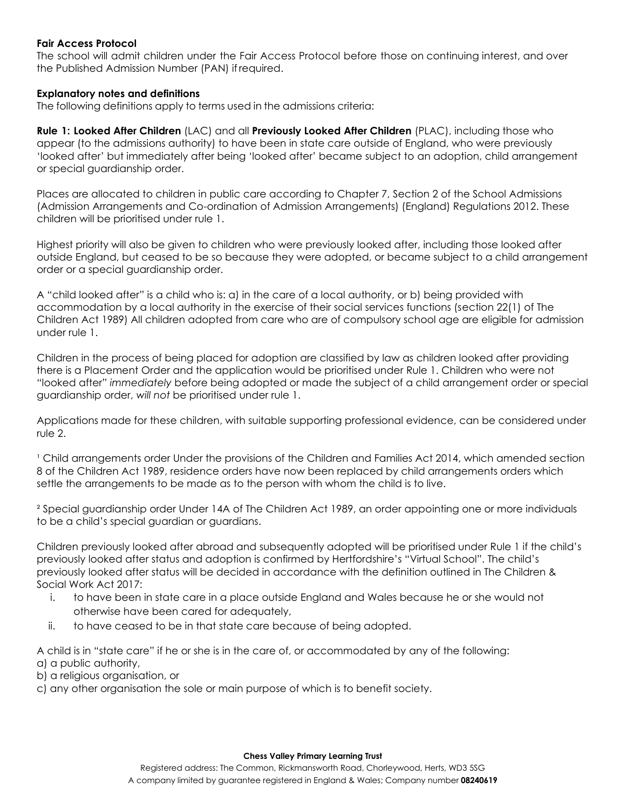### **Fair Access Protocol**

The school will admit children under the Fair Access Protocol before those on continuing interest, and over the Published Admission Number (PAN) if required.

### **Explanatory notes and definitions**

The following definitions apply to terms used in the admissions criteria:

**Rule 1: Looked After Children** (LAC) and all **Previously Looked After Children** (PLAC), including those who appear (to the admissions authority) to have been in state care outside of England, who were previously 'looked after' but immediately after being 'looked after' became subject to an adoption, child arrangement or special guardianship order.

Places are allocated to children in public care according to Chapter 7, Section 2 of the School Admissions (Admission Arrangements and Co-ordination of Admission Arrangements) (England) Regulations 2012. These children will be prioritised under rule 1.

Highest priority will also be given to children who were previously looked after, including those looked after outside England, but ceased to be so because they were adopted, or became subject to a child arrangement order or a special guardianship order.

A "child looked after" is a child who is: a) in the care of a local authority, or b) being provided with accommodation by a local authority in the exercise of their social services functions (section 22(1) of The Children Act 1989) All children adopted from care who are of compulsory school age are eligible for admission under rule 1.

Children in the process of being placed for adoption are classified by law as children looked after providing there is a Placement Order and the application would be prioritised under Rule 1. Children who were not "looked after" *immediately* before being adopted or made the subject of a child arrangement order or special guardianship order, *will not* be prioritised under rule 1.

Applications made for these children, with suitable supporting professional evidence, can be considered under rule 2.

<sup>1</sup> Child arrangements order Under the provisions of the Children and Families Act 2014, which amended section 8 of the Children Act 1989, residence orders have now been replaced by child arrangements orders which settle the arrangements to be made as to the person with whom the child is to live.

² Special guardianship order Under 14A of The Children Act 1989, an order appointing one or more individuals to be a child's special guardian or guardians.

Children previously looked after abroad and subsequently adopted will be prioritised under Rule 1 if the child's previously looked after status and adoption is confirmed by Hertfordshire's "Virtual School". The child's previously looked after status will be decided in accordance with the definition outlined in The Children & Social Work Act 2017:

- i. to have been in state care in a place outside England and Wales because he or she would not otherwise have been cared for adequately,
- ii. to have ceased to be in that state care because of being adopted.

A child is in "state care" if he or she is in the care of, or accommodated by any of the following: a) a public authority,

- b) a religious organisation, or
- c) any other organisation the sole or main purpose of which is to benefit society.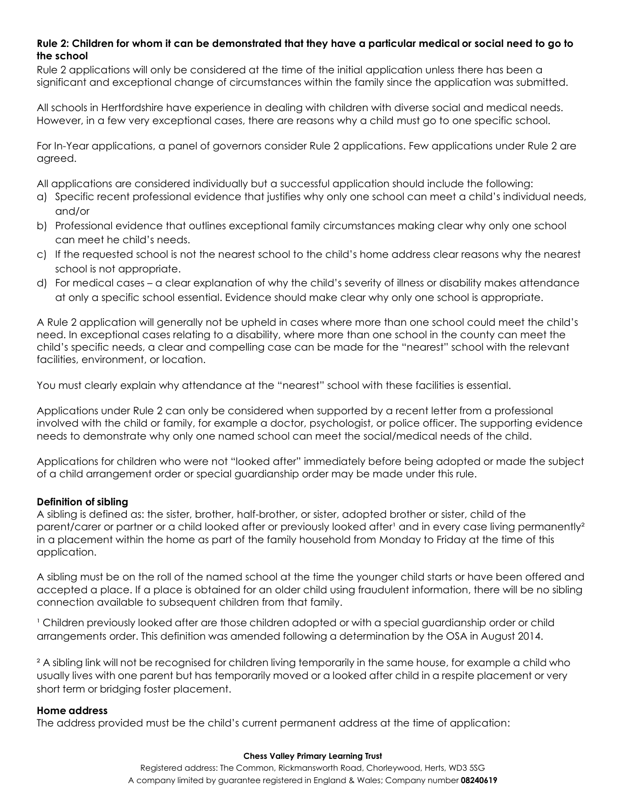# **Rule 2: Children for whom it can be demonstrated that they have a particular medical or social need to go to the school**

Rule 2 applications will only be considered at the time of the initial application unless there has been a significant and exceptional change of circumstances within the family since the application was submitted.

All schools in Hertfordshire have experience in dealing with children with diverse social and medical needs. However, in a few very exceptional cases, there are reasons why a child must go to one specific school.

For In-Year applications, a panel of governors consider Rule 2 applications. Few applications under Rule 2 are agreed.

All applications are considered individually but a successful application should include the following:

- a) Specific recent professional evidence that justifies why only one school can meet a child's individual needs, and/or
- b) Professional evidence that outlines exceptional family circumstances making clear why only one school can meet he child's needs.
- c) If the requested school is not the nearest school to the child's home address clear reasons why the nearest school is not appropriate.
- d) For medical cases a clear explanation of why the child's severity of illness or disability makes attendance at only a specific school essential. Evidence should make clear why only one school is appropriate.

A Rule 2 application will generally not be upheld in cases where more than one school could meet the child's need. In exceptional cases relating to a disability, where more than one school in the county can meet the child's specific needs, a clear and compelling case can be made for the "nearest" school with the relevant facilities, environment, or location.

You must clearly explain why attendance at the "nearest" school with these facilities is essential.

Applications under Rule 2 can only be considered when supported by a recent letter from a professional involved with the child or family, for example a doctor, psychologist, or police officer. The supporting evidence needs to demonstrate why only one named school can meet the social/medical needs of the child.

Applications for children who were not "looked after" immediately before being adopted or made the subject of a child arrangement order or special guardianship order may be made under this rule.

# **Definition of sibling**

A sibling is defined as: the sister, brother, half-brother, or sister, adopted brother or sister, child of the parent/carer or partner or a child looked after or previously looked after' and in every case living permanently<sup>2</sup> in a placement within the home as part of the family household from Monday to Friday at the time of this application.

A sibling must be on the roll of the named school at the time the younger child starts or have been offered and accepted a place. If a place is obtained for an older child using fraudulent information, there will be no sibling connection available to subsequent children from that family.

I Children previously looked after are those children adopted or with a special guardianship order or child arrangements order. This definition was amended following a determination by the OSA in August 2014.

² A sibling link will not be recognised for children living temporarily in the same house, for example a child who usually lives with one parent but has temporarily moved or a looked after child in a respite placement or very short term or bridging foster placement.

## **Home address**

The address provided must be the child's current permanent address at the time of application: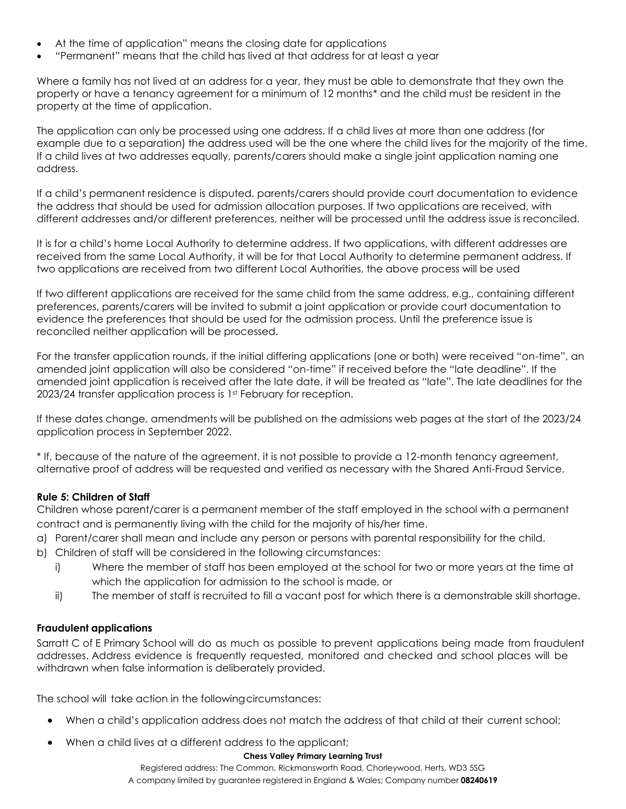- At the time of application" means the closing date for applications
- "Permanent" means that the child has lived at that address for at least a year

Where a family has not lived at an address for a year, they must be able to demonstrate that they own the property or have a tenancy agreement for a minimum of 12 months\* and the child must be resident in the property at the time of application.

The application can only be processed using one address. If a child lives at more than one address (for example due to a separation) the address used will be the one where the child lives for the majority of the time. If a child lives at two addresses equally, parents/carers should make a single joint application naming one address.

If a child's permanent residence is disputed, parents/carers should provide court documentation to evidence the address that should be used for admission allocation purposes. If two applications are received, with different addresses and/or different preferences, neither will be processed until the address issue is reconciled.

It is for a child's home Local Authority to determine address. If two applications, with different addresses are received from the same Local Authority, it will be for that Local Authority to determine permanent address. If two applications are received from two different Local Authorities, the above process will be used

If two different applications are received for the same child from the same address, e.g., containing different preferences, parents/carers will be invited to submit a joint application or provide court documentation to evidence the preferences that should be used for the admission process. Until the preference issue is reconciled neither application will be processed.

For the transfer application rounds, if the initial differing applications (one or both) were received "on-time", an amended joint application will also be considered "on-time" if received before the "late deadline". If the amended joint application is received after the late date, it will be treated as "late". The late deadlines for the 2023/24 transfer application process is 1st February for reception.

If these dates change, amendments will be published on the admissions web pages at the start of the 2023/24 application process in September 2022.

\* If, because of the nature of the agreement, it is not possible to provide a 12-month tenancy agreement, alternative proof of address will be requested and verified as necessary with the Shared Anti-Fraud Service.

## **Rule 5: Children of Staff**

Children whose parent/carer is a permanent member of the staff employed in the school with a permanent contract and is permanently living with the child for the majority of his/her time.

- a) Parent/carer shall mean and include any person or persons with parental responsibility for the child.
- b) Children of staff will be considered in the following circumstances:
	- i) Where the member of staff has been employed at the school for two or more years at the time at which the application for admission to the school is made, or
	- ii) The member of staff is recruited to fill a vacant post for which there is a demonstrable skill shortage.

## **Fraudulent applications**

Sarratt C of E Primary School will do as much as possible to prevent applications being made from fraudulent addresses. Address evidence is frequently requested, monitored and checked and school places will be withdrawn when false information is deliberately provided.

The school will take action in the following circumstances:

- When a child's application address does not match the address of that child at their current school;
- When a child lives at a different address to the applicant;

#### **Chess Valley Primary Learning Trust**

Registered address: The Common, Rickmansworth Road, Chorleywood, Herts, WD3 5SG A company limited by guarantee registered in England & Wales; Company number **08240619**